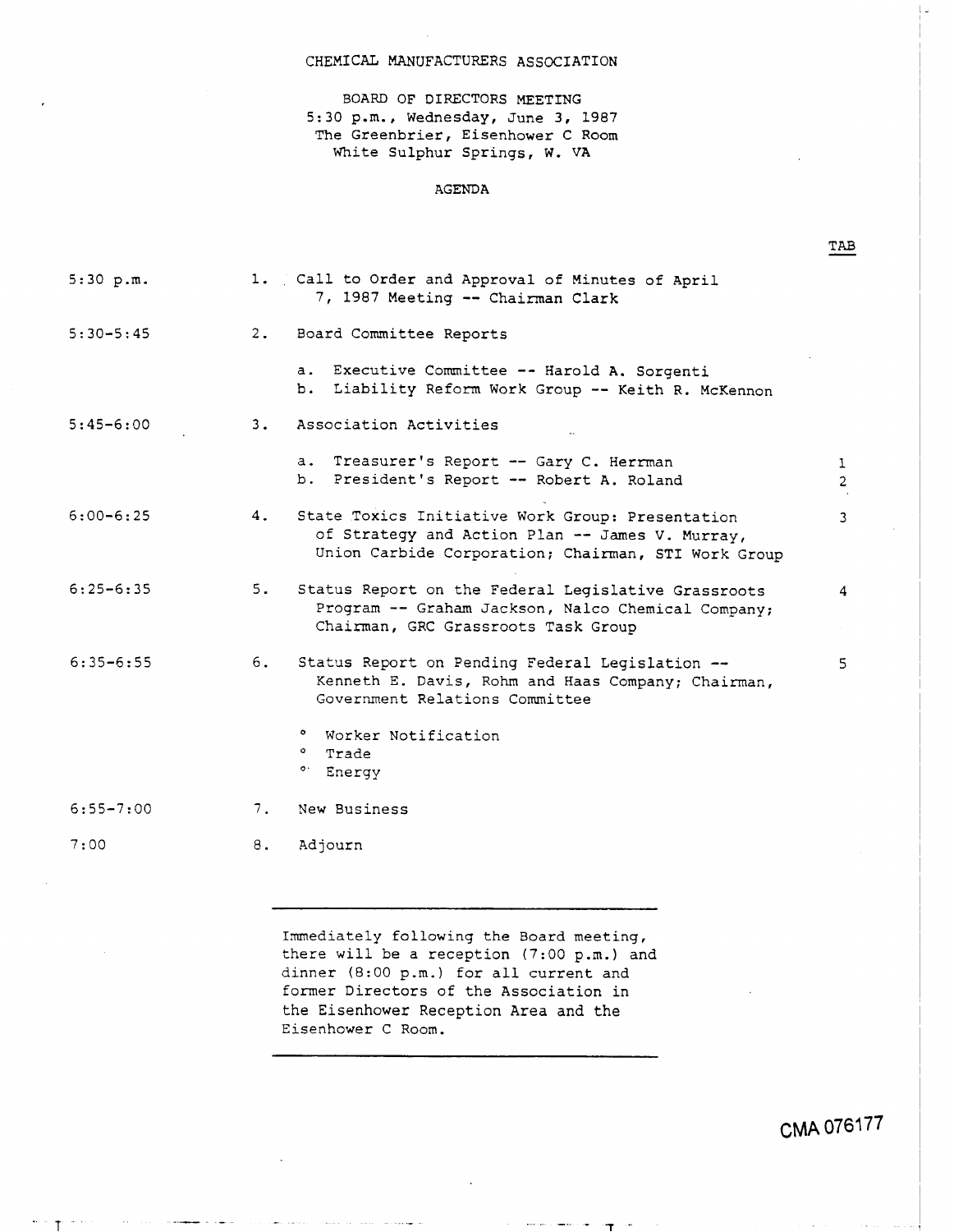### CHEMICAL MANUFACTURERS ASSOCIATION

BOARD OF DIRECTORS MEETING 5:30 p.m., Wednesday, June **3, 1987**  The Greenbrier, Eisenhower C Room White Sulphur Springs, W. VA

#### AGENDA

| 5:30 p.m.     |    | 1. Call to Order and Approval of Minutes of April<br>7, 1987 Meeting -- Chairman Clark                                                                     |                     |
|---------------|----|------------------------------------------------------------------------------------------------------------------------------------------------------------|---------------------|
| $5:30 - 5:45$ | 2. | Board Committee Reports                                                                                                                                    |                     |
|               |    | a. Executive Committee -- Harold A. Sorgenti<br>Liability Reform Work Group -- Keith R. McKennon<br>b.                                                     |                     |
| $5:45 - 6:00$ | 3. | Association Activities                                                                                                                                     |                     |
|               |    | a. Treasurer's Report -- Gary C. Herrman<br>b. President's Report -- Robert A. Roland                                                                      | 1<br>$\overline{2}$ |
| $6:00 - 6:25$ | 4. | State Toxics Initiative Work Group: Presentation<br>of Strategy and Action Plan -- James V. Murray,<br>Union Carbide Corporation; Chairman, STI Work Group | 3                   |
| $6:25 - 6:35$ | 5. | Status Report on the Federal Legislative Grassroots<br>Program -- Graham Jackson, Nalco Chemical Company;<br>Chairman, GRC Grassroots Task Group           | 4                   |
| $6:35 - 6:55$ | 6. | Status Report on Pending Federal Legislation --<br>Kenneth E. Davis, Rohm and Haas Company; Chairman,<br>Government Relations Committee                    | 5                   |
|               |    | ° Worker Notification<br>° Trade<br>° Energy                                                                                                               |                     |
| $6:55 - 7:00$ | 7. | New Business                                                                                                                                               |                     |
| 7:00          | 8. | Adjourn                                                                                                                                                    |                     |

Immediately following the Board meeting, there will be a reception (7:00 p.m.) and dinner (8:00 p.m.) for all current and former Directors of the Association in the Eisenhower Reception Area and the Eisenhower C Room.

ा

**CMA** 0761 **77** 

TAB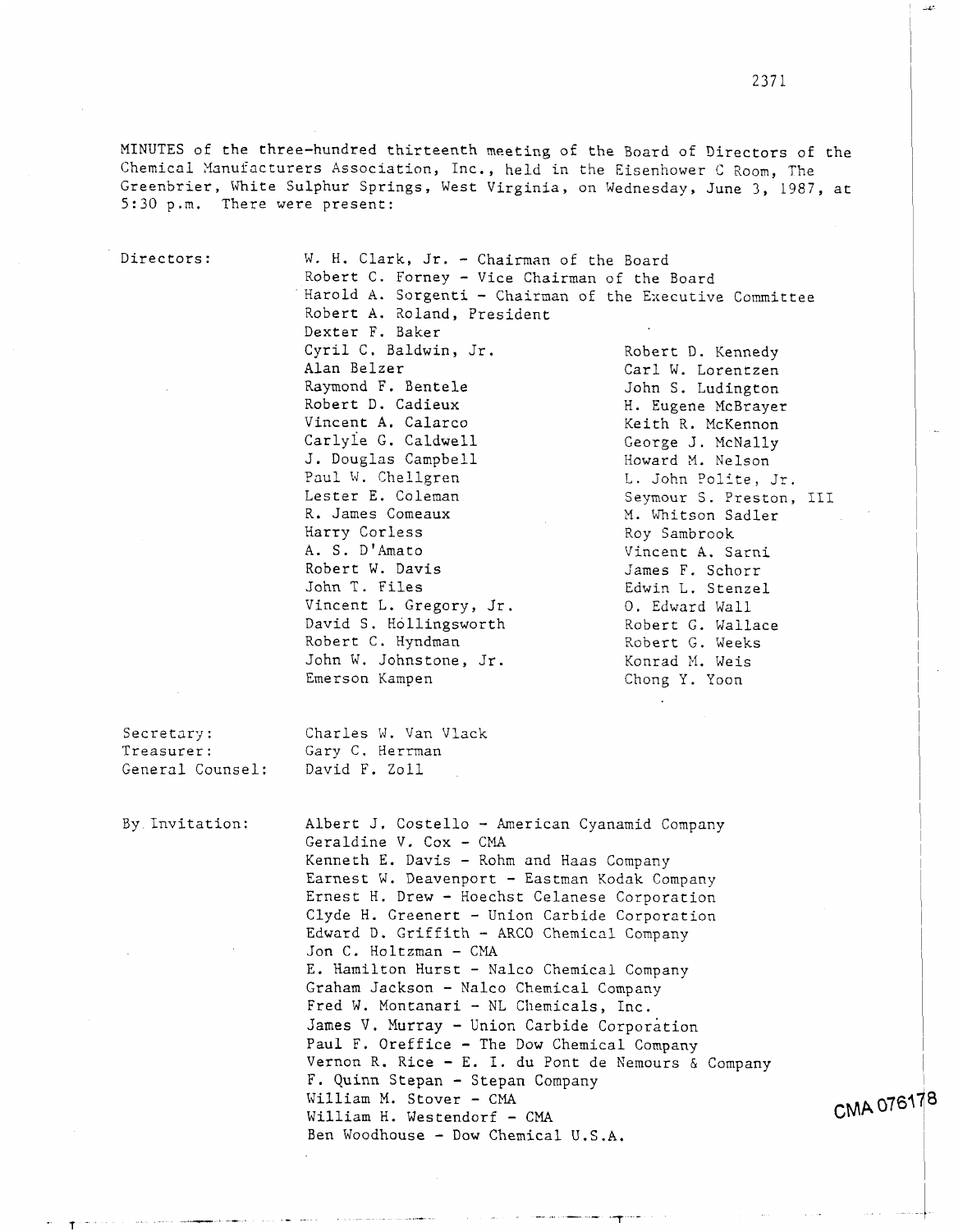MINUTES of the three-hundred thirteenth meeting of the Board of Directors of the Chemical Xanufacturers Association, Inc., held in the Eisenhower C Room, The Greenbrier, Uhite Sulphur Springs, West Virginia, on Wednesday, June 3, 1987, at 5:30 p.m. There were present:

Directors: W. H. Clark, Jr. - Chairman of the Board Robert C. Forney - Vice Chairman of the Board Harold A. Sorgenti - Chairman of the Executive Committee Robert A. Roland, President Dexter F. Baker Cyril C. Baldwin, Jr. Robert D. Kennedy<br>Alan Belzer Carl W. Lorentzen Alan Belzer<br>
Raymond F. Bentele<br>
Carl W. Lorentzen<br>
John S. Ludington Raymond F. Bentele<br>Robert D. Cadieux M. Eugene McBraver Robert D. Cadieux M. Eugene McBrayer<br>Vincent A. Calarco Meith R. McKennon Vincent A. Calarco Keith R. McKennon<br>Carlyle G. Caldwell (eorge J. McNally George J. McNally J. Douglas Campbell Howard M. Nelson<br>
Paul W. Chellgren L. John Polite. Paul W. Chellgren L. John Polite, Jr.<br>Lester E. Coleman Seymour S. Preston. Lester E. Coleman Seymour S. Preston, III <br>R. James Comeaux M. Whitson Sadler R. James Comeaux M. Whitson Sadler<br>
Harry Corless Move Roy Sambrook Harry Corless Roy Sambrook **A.** S. D'Amato Vincent **A.** Sarni Robert W. Davis<br>John T. Files Stenze Edwin L. Stenze Edwin L. Stenzel<br>O. Edward Wall Vincent L. Gregory, Jr. 0. Edward Wall<br>David S. Hollingsworth Robert G. Wallace David S. Hollingsworth Robert G. Wallace Robert G. Weeks Robert C. Hyndman John W. Johnstone, Jr. Konrad N. Weis

Chong Y. Yoon

General Counsel:

Secretary: Charles W. Van Vlack<br>Treasurer: Gary C. Herrman Gary C. Herrman<br>David F. Zoll

By Invitation: Albert J. Costello - American Cyanamid Company Geraldine V. Cox - CMA Kenneth E. Davis - Rohm and Haas Company Earnest W. Deavenport - Eastman Kodak Company Ernest H. Drew - Hoechst Celanese Corporation Clyde H. Greenert - Union Carbide Corporation Edward D. Griffith - ARC0 Chemical Company Jon C. Holtzman - CMA E. Hamilton Hurst - Nalco Chemical Company Graham Jackson - Nalco Chemical Company Fred W. Montanari - NL Chemicals, Inc. **3ames** V. Murray - Union Carbide Corporation Paul F. Oreffice - The Dow Chemical Company Vernon R. Rice - E. I. du Pont de Nemours & Company F. Quinn **Stepan** - Stepan Company William M. Stover - CMA William H. Westendorf - CMA Ben Woodhouse - Dow Chemical U.S.A.

CMA 076178

+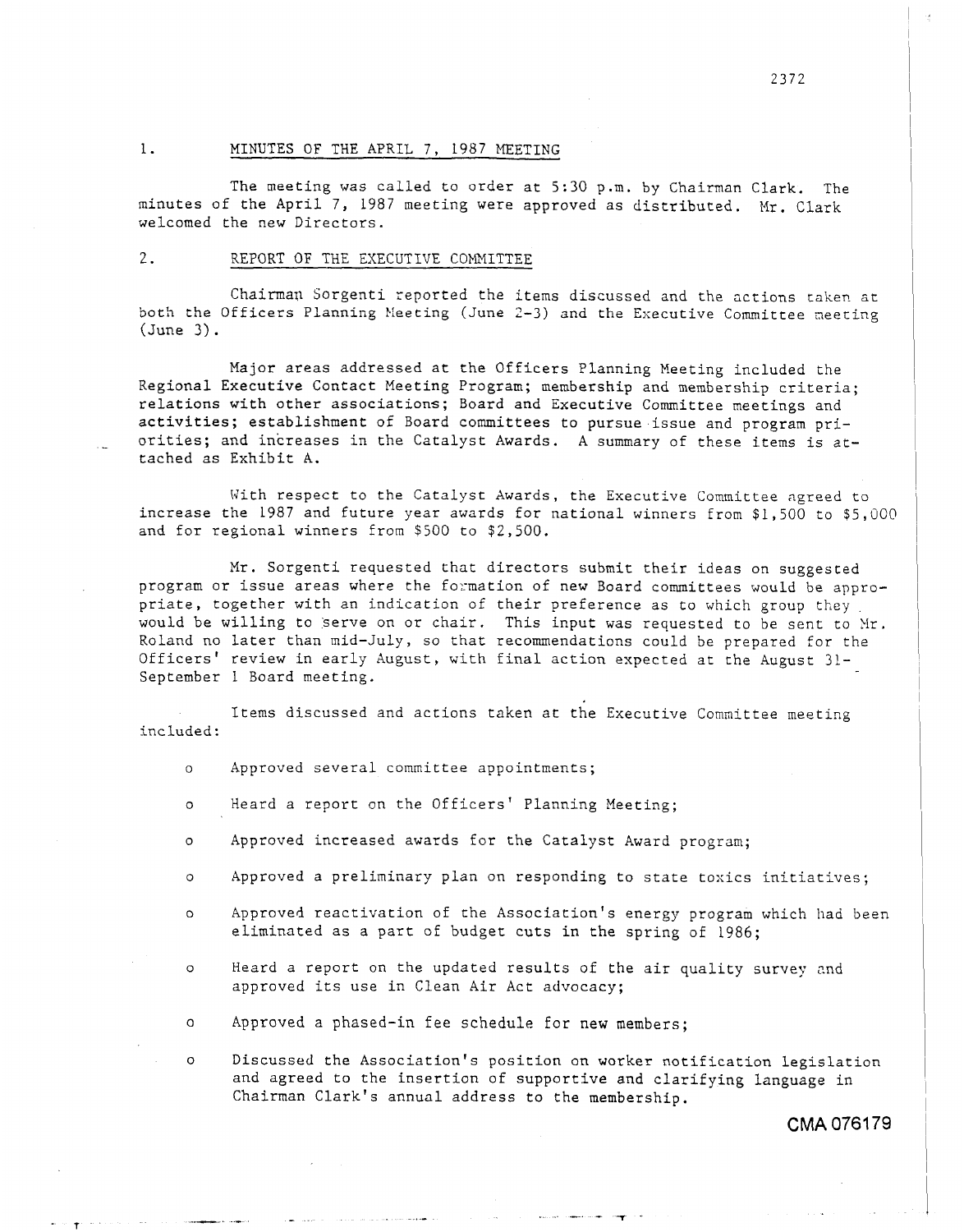### 1. MINUTES OF THE APRIL 7, 1987 MEETING

The meeting was called to order at 5:30 p.m. by Chairman Clark. The minutes of the April 7, 1987 meeting were approved as distributed. Mr. Clark welcomed the new Directors.

#### 2. REPORT OF THE EXECUTIVE COMMITTEE

Chairman Sorgenti reported the items discussed and the actions taken at both the Officers Planning Meeting (June 2-3) and the Executive Committee meeting (June *3).* 

Major areas addressed at the Officers Planning Meeting included the Regional Executive Contact Meeting Program; membership and membership criteria; relations with other associations; Board and Executive Committee meetings and activities; establishment of Board committees to pursue.issue and program pritached as Exhibit A. orities; and increases in the Catalyst Awards. A summary of these items is at-

With respect to the Catalyst Awards, the Executive Committee agreed to increase the 1987 and future year awards for national winners from \$1,500 to \$5,000 and for regional winners from \$500 to \$2,500.

Mr. Sorgenti requested that directors submit their ideas on suggested program or issue areas where the formation of new Board committees would be appropriate, together with an indication of their preference as to which group they would be willing to serve on or chair. This input was requested to be sent to Mr. Roland no later than mid-July, so that recommendations could be prepared for the Officers' review in early August, with final action expected at the August 31- September 1 Board meeting.

Items discussed and actions taken at the Executive Committee meeting included:

- *0*  Approved several committee appointments;
- *0*  Heard a report on the Officers' Planning Meeting;
- *0*  Approved increased awards for the Catalyst Award program;
- *0*  Approved a preliminary plan on responding to state toxics initiatives;
- *0*  Approved reactivation of the Association's energy program which had been eliminated as a part of budget cuts in the spring of 1986;
- *0*  Heard a report on the updated results of the air quality survey nnd approved its use in Clean Air Act advocacy;
- *0*  Approved a phased-in fee schedule for new members;

*0*  Discussed the Association's position on worker notification legislation and agreed to the insertion of supportive and clarifying language in Chairman Clark's annual address to the membership.

**CMA** 0761 79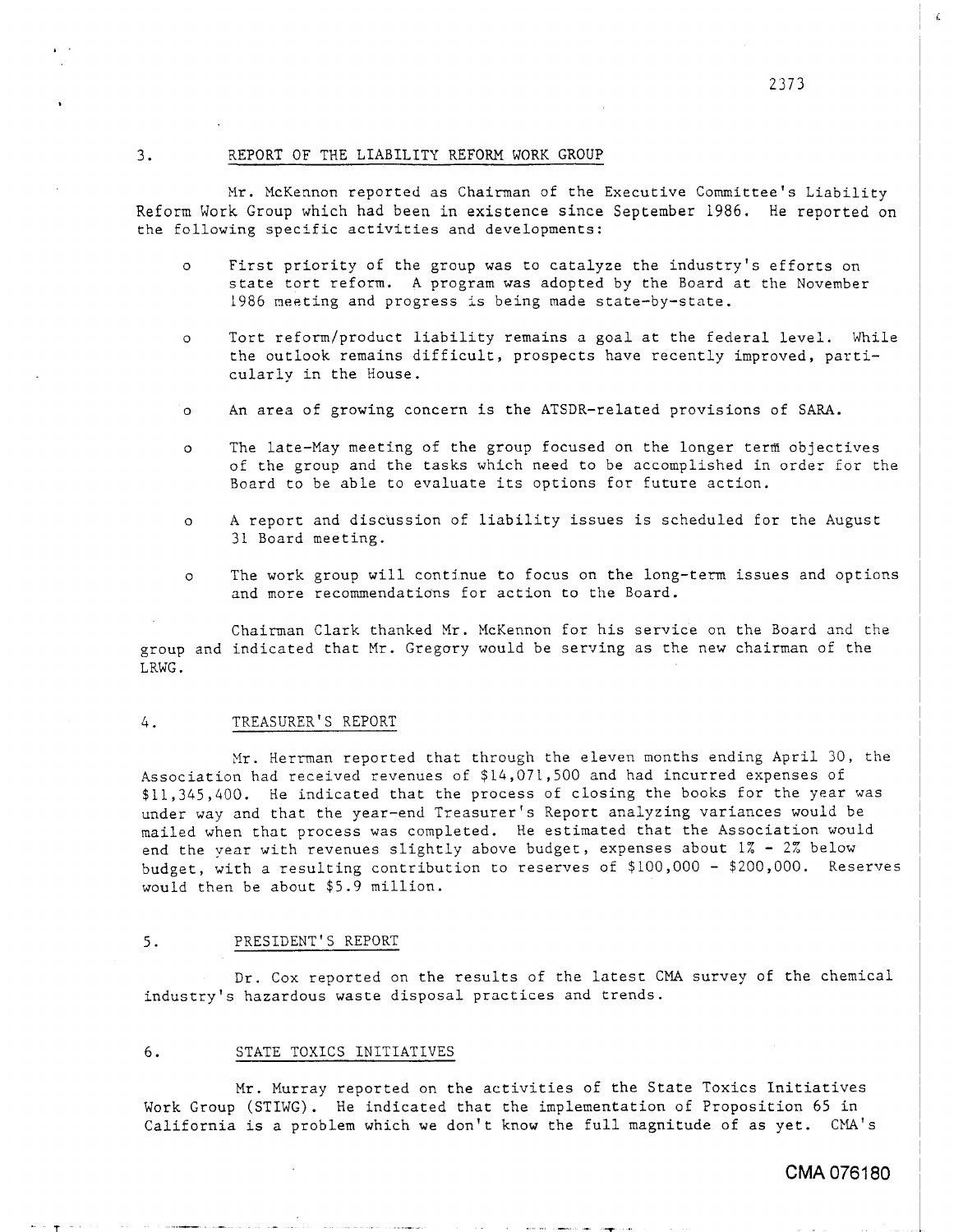#### 3. REPORT OF THE LIABILITY REFORM WORK GROUP

Mr. McKennon reported as Chairman of the Executive Committee's Liability Reform Work Group which had been in existence since September 1986. He reported on the following specific activities and developments:

- o First priority of the group was to catalyze the industry's efforts on state tort reform. A program was adopted by the Board at the November 1986 meeting and progress is being made state-by-state.
- o Tort reform/product liability remains a goal at the federal level. While the outlook remains difficult, prospects have recently improved, particularly in the House.
- o An ares of growing concern is the ATSDR-related provisions of SARA.
- o The late-May meeting of the group focused on the longer term objectives of the group and the tasks which need to be accomplished in order for the Board to be able to evaluate its options for future action.
- o **A** report and discussion of liability issues is scheduled for the August *31* Board meeting.
- o The work group will continue to focus on the long-term issues and options and more recommendations for action to the Board.

Chairman Clark thanked Mr. McKennon for his service on the Board and the group and indicated that Mr. Gregory would be serving as the new chairman of the LRWG.

#### *4.* TREASURER'S REPORT

Xr. Herman reported that through the eleven months ending April 30, the Association had received revenues of \$14,071,500 and had incurred expenses of *\$11,345,400.* He indicated that the process of closing the books for the year was under way and that the year-end Treasurer's Report analyzing variances would be mailed when that process was completed. He estimated that the Association would end the year with revenues slightly above budget, expenses about 1% - *2%* below budget, with a resulting contribution to reserves of \$100,000 - \$200,000. Reserves would then be about \$5.9 million.

#### 5. PRESIDENT'S REPORT

Dr. Cox reported on the results of the latest CMA survey of the chemical industry's hazardous waste disposal practices and trends.

### 6. STATE TOXICS INITIATIVES

Mr. Murray reported on the activities of the State Toxics Initiatives Work Group (STIWG). He indicated that the implementation of Proposition 65 in California is a problem which we don't know the full magnitude of as yet. CMA's

# **CMA** 0761 **80**

2373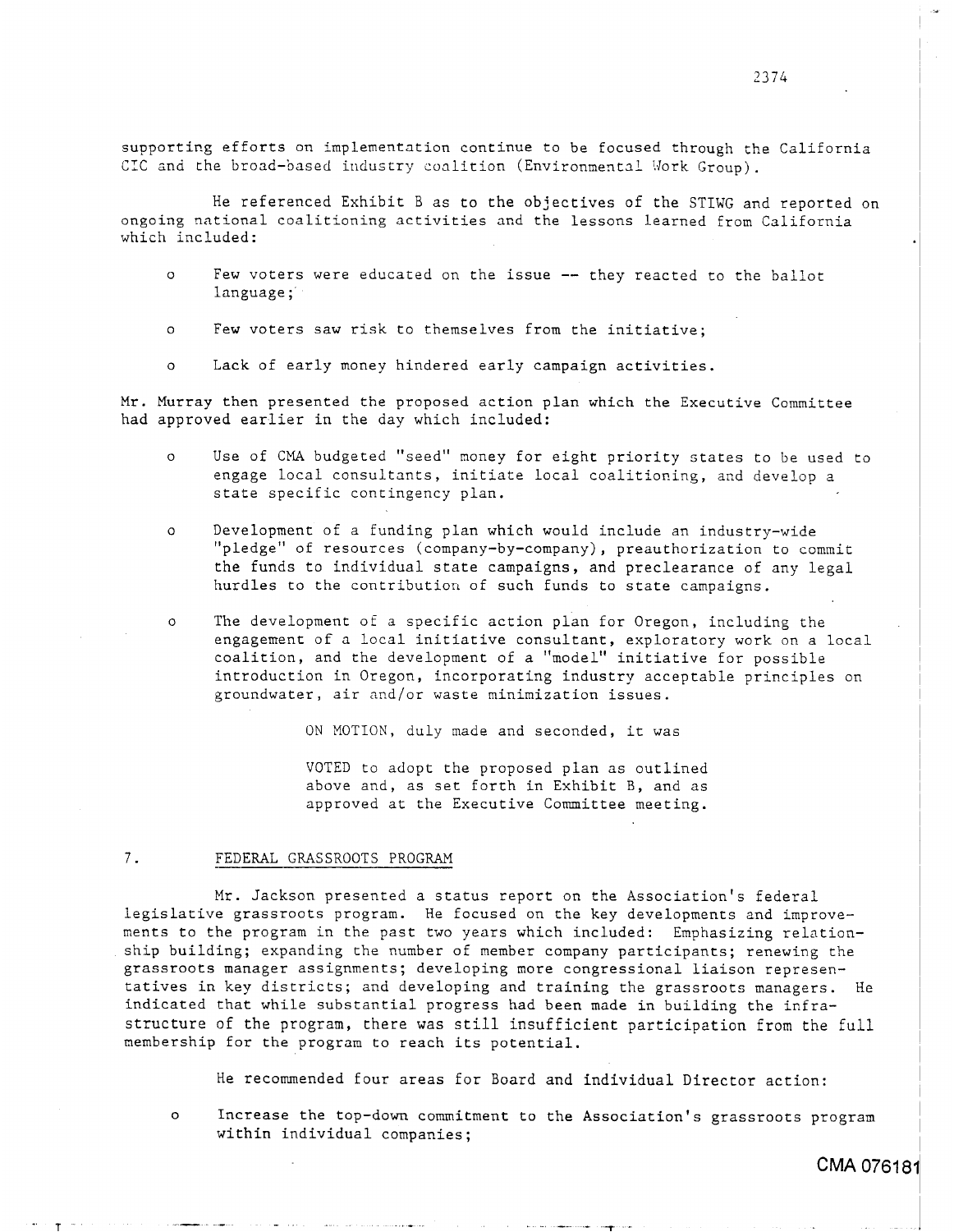He referenced Exhibit B as to the objectives of the STIWG and reported on ongoing national coalitioning activities and the lessons learned from California which included:

- *<sup>0</sup>*Few voters were educated on the issue -- they reacted to the ballot language ;'
- o Few voters saw risk to themselves from the initiative;
- *o* Lack of early money hindered early campaign activities.

Mr. Murray then presented the proposed action plan which the Executive Committee had approved earlier in the day which included:

- o Use of CMA budgeted ''seed'' money for eight priority states to be used to engage local consultants, initiate local coalitioning, and develop a state specific contingency plan.
- o Development of a funding plan which would include an industry-wide "pledge" of resources (company-by-company), preauthorization to commit the funds to individual state campaigns, and preclearance of any legal hurdles to the contribution of such funds to state campaigns.
- o The development of a specific action plan for Oregon, including the engagement of a local initiative consultant, exploratory work on a local coalition, and the development of a "model" initiative for possible introduction in Oregon, incorporating industry acceptable principles on groundwater, air and/or waste minimization issues.

ON MOTION, duly made and seconded, it was

VOTED to adopt the proposed plan as outlined above and, as set forth in Exhibit B, and as approved at the Executive Committee meeting.

#### 7. FEDERAL GRASSROOTS PROGRAM

Mr. Jackson presented a status report on the Association's federal legislative grassroots program. He focused on the key developments and improvements to the program in the past two years which included: Emphasizing relationship building; expanding the number of member company participants; renewing the grassroots manager assignments; developing more congressional liaison representatives in key districts; and developing and training the grassroots managers. He indicated that while substantial progress had been made in building the infrastructure of the program, there was still insufficient participation from the full membership for the program to reach its potential.

He recommended four areas for Board and individual Director action:

*0* 

**T** 

Increase the top-down commitment to the Association's grassroots program within individual companies;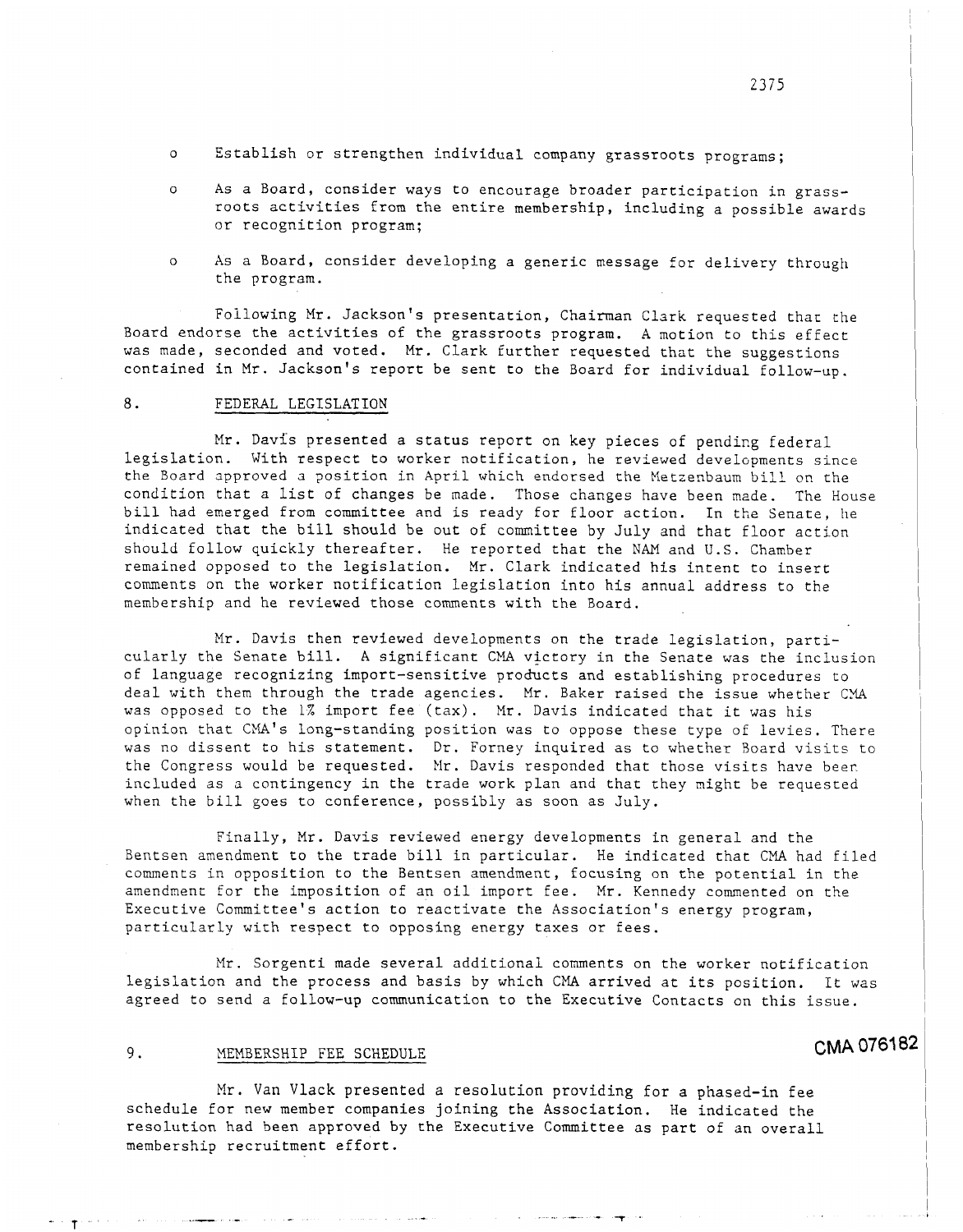- Establish or strengthen individual company grassroots programs; *0*
- 0 **As** a Board, consider ways to encourage broader participation in grassroots activities **from** the entire membership, including a possible awards or recognition program;
- *o* As a Board, consider developing a generic message for delivery through <sup>I</sup> the program.

Foilowing Mr. Jackson's presentation, Chairman Clark requested that the Board endorse the activities of the grassroots program. **A** motion to this effect was made, seconded and voted. **Mr.** Clark further requested that the suggestions contained in Mr. Jackson's report be sent to the Board for individual follow-up.

## 8. FEDERAL LEGISLATION

Mr. Davis presented a status report on key pieces of pending federal legislation. With respect to worker notification, he reviewed developments since the Board approved a position in April which endorsed the Metzenbaum bill on the condition that a list of changes be made. Those changes have been made. The House bill had emerged from committee and is ready for floor action. In the Senate, he indicated that the bill should be out of committee by July and that floor action should follow quickly thereafter. He reported that the NAM and U.S. Chamber remained opposed to the legislation. Mr. Clark indicated his intent to insert comments on the worker notification legislation into his annual address to the membership and he reviewed those comments with the Board.

Mr. Davis then reviewed developments on the trade legislation, particularly the Senate bill. A significant CMA victory in the Senate was the inclusion of language recognizing import-sensitive products and establishing procedures to deal with them through the trade agencies. Mr. Baker raised the issue whether CM was opposed to the 1% import fee (tax). Mr. Davis indicated that it was his opinion that CMA's long-standing position was to oppose these type of levies. There was no dissent to his statement. Dr. Forney inquired as to whether Board visits to the Congress would be requested. Mr. Davis responded that those visits have beer. included as a contingency in the trade work plan and that they might be requested when the bill goes to conference, possibly as soon as July.

Finally, Mr. Davis reviewed energy developments in general and the Bentsen amendment to the trade bill in particular. He indicated that CMA had filed comments in opposition to the Bentsen amendment, focusing on the potential in the amendment for the imposition of an oil import fee. Mr. Kennedy commented on the Executive Committee's action to reactivate the Association's energy program, particularly with respect to opposing energy taxes or fees.

Mr. Sorgenti made several additional comments on the worker notification legislation and the process and basis by which CMA arrived at its position. It was agreed to send a follow-up communication to the Executive Contacts on this issue.

# 9. MEMBERSHIP FEE SCHEDULE **CMA 076182**

Mr. Van Vlack presented a resolution providing for a phased-in fee schedule for new member companies joining the Association. He indicated the resolution had been approved by the Executive Committee as part of an overall membership recruitment effort.

I